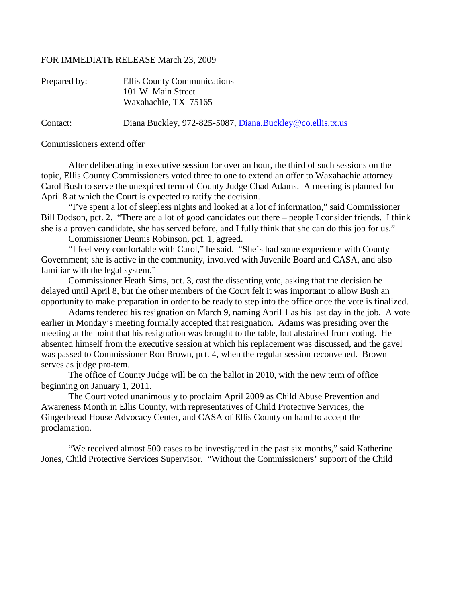## FOR IMMEDIATE RELEASE March 23, 2009

| Prepared by: | Ellis County Communications<br>101 W. Main Street<br>Waxahachie, TX 75165 |
|--------------|---------------------------------------------------------------------------|
| Contact:     | Diana Buckley, 972-825-5087, Diana.Buckley@co.ellis.tx.us                 |

Commissioners extend offer

After deliberating in executive session for over an hour, the third of such sessions on the topic, Ellis County Commissioners voted three to one to extend an offer to Waxahachie attorney Carol Bush to serve the unexpired term of County Judge Chad Adams. A meeting is planned for April 8 at which the Court is expected to ratify the decision.

"I've spent a lot of sleepless nights and looked at a lot of information," said Commissioner Bill Dodson, pct. 2. "There are a lot of good candidates out there – people I consider friends. I think she is a proven candidate, she has served before, and I fully think that she can do this job for us."

Commissioner Dennis Robinson, pct. 1, agreed.

"I feel very comfortable with Carol," he said. "She's had some experience with County Government; she is active in the community, involved with Juvenile Board and CASA, and also familiar with the legal system."

Commissioner Heath Sims, pct. 3, cast the dissenting vote, asking that the decision be delayed until April 8, but the other members of the Court felt it was important to allow Bush an opportunity to make preparation in order to be ready to step into the office once the vote is finalized.

Adams tendered his resignation on March 9, naming April 1 as his last day in the job. A vote earlier in Monday's meeting formally accepted that resignation. Adams was presiding over the meeting at the point that his resignation was brought to the table, but abstained from voting. He absented himself from the executive session at which his replacement was discussed, and the gavel was passed to Commissioner Ron Brown, pct. 4, when the regular session reconvened. Brown serves as judge pro-tem.

The office of County Judge will be on the ballot in 2010, with the new term of office beginning on January 1, 2011.

The Court voted unanimously to proclaim April 2009 as Child Abuse Prevention and Awareness Month in Ellis County, with representatives of Child Protective Services, the Gingerbread House Advocacy Center, and CASA of Ellis County on hand to accept the proclamation.

"We received almost 500 cases to be investigated in the past six months," said Katherine Jones, Child Protective Services Supervisor. "Without the Commissioners' support of the Child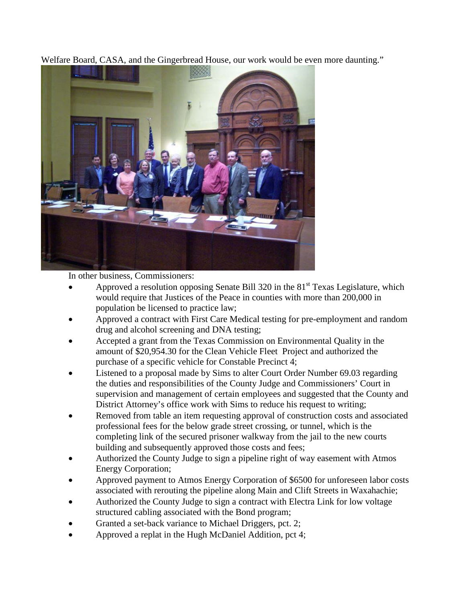Welfare Board, CASA, and the Gingerbread House, our work would be even more daunting."



In other business, Commissioners:

- Approved a resolution opposing Senate Bill 320 in the  $81<sup>st</sup>$  Texas Legislature, which would require that Justices of the Peace in counties with more than 200,000 in population be licensed to practice law;
- Approved a contract with First Care Medical testing for pre-employment and random drug and alcohol screening and DNA testing;
- Accepted a grant from the Texas Commission on Environmental Quality in the amount of \$20,954.30 for the Clean Vehicle Fleet Project and authorized the purchase of a specific vehicle for Constable Precinct 4;
- Listened to a proposal made by Sims to alter Court Order Number 69.03 regarding the duties and responsibilities of the County Judge and Commissioners' Court in supervision and management of certain employees and suggested that the County and District Attorney's office work with Sims to reduce his request to writing;
- Removed from table an item requesting approval of construction costs and associated professional fees for the below grade street crossing, or tunnel, which is the completing link of the secured prisoner walkway from the jail to the new courts building and subsequently approved those costs and fees;
- Authorized the County Judge to sign a pipeline right of way easement with Atmos Energy Corporation;
- Approved payment to Atmos Energy Corporation of \$6500 for unforeseen labor costs associated with rerouting the pipeline along Main and Clift Streets in Waxahachie;
- Authorized the County Judge to sign a contract with Electra Link for low voltage structured cabling associated with the Bond program;
- Granted a set-back variance to Michael Driggers, pct. 2;
- Approved a replat in the Hugh McDaniel Addition, pct 4;